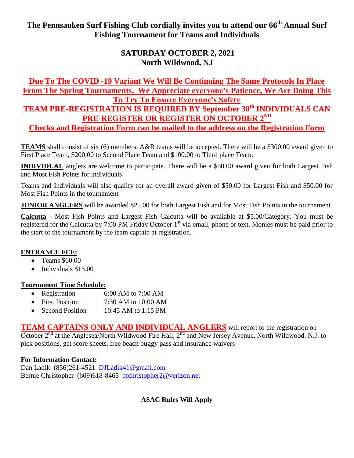**The Pennsauken Surf Fishing Club cordially invites you to attend our 66 th Annual Surf Fishing Tournament for Teams and Individuals**

# **SATURDAY OCTOBER 2, 2021 North Wildwood, NJ**

**Due To The COVID -19 Variant We Will Be Continuing The Same Protocols In Place From The Spring Tournaments. We Appreciate everyone's Patience, We Are Doing This To Try To Ensure Everyone's Safety**

**TEAM PRE-REGISTRATION IS REQUIRED BY September 30th INDIVIDUALS CAN PRE-REGISTER OR REGISTER ON OCTOBER 2ND**

**Checks and Registration Form can be mailed to the address on the Registration Form**

**TEAMS** shall consist of six (6) members. A&B teams will be accepted. There will be a \$300.00 award given to First Place Team, \$200.00 to Second Place Team and \$100.00 to Third place Team.

**INDIVIDUAL** anglers are welcome to participate. There will be a \$50.00 award given for both Largest Fish and Most Fish Points for individuals

Teams and Individuals will also qualify for an overall award given of \$50.00 for Largest Fish and \$50.00 for Most Fish Points in the tournament

**JUNIOR ANGLERS** will be awarded \$25.00 for both Largest Fish and for Most Fish Points in the tournament

**Calcutta -** Most Fish Points and Largest Fish Calcutta will be available at \$5.00/Category. You must be registered for the Calcutta by 7:00 PM Friday October 1<sup>st</sup> via email, phone or text. Monies must be paid prior to the start of the tournament by the team captain at registration.

### **ENTRANCE FEE:**

- Teams \$60.00
- Individuals \$15.00

### **Tournament Time Schedule:**

- Registration 6:00 AM to 7:00 AM
- First Position 7:30 AM to 10:00 AM
- Second Position 10:45 AM to 1:15 PM

**TEAM CAPTAINS ONLY AND INDIVIDUAL ANGLERS** will report to the registration on October  $2<sup>nd</sup>$  at the Anglesea/North Wildwood Fire Hall,  $2<sup>nd</sup>$  and New Jersey Avenue, North Wildwood, N.J. to pick positions, get score sheets, free beach buggy pass and insurance waivers

### **For Information Contact:**

Dan Ladik (856)261-4521 [DJLadik41@gmail.com](file:///C:/Users/Bernie/Documents/PSFC%20Documents/DJLadik41@gmail.com)  Bernie Christopher (609)618-8465 [bfchristopher2@verizon.net](mailto:bfchristopher2@verizon.net)

## **ASAC Rules Will Apply**